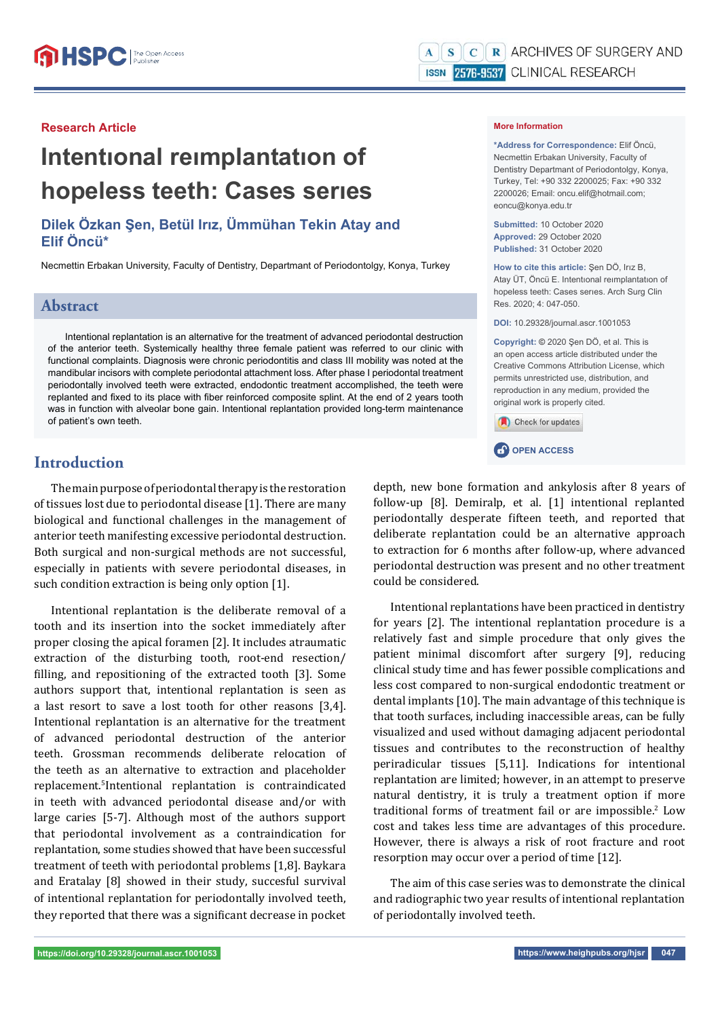# **Intentıonal reımplantatıon of hopeless teeth: Cases serıes**

## **Dilek Özkan Şen, Betül Irız, Ümmühan Tekin Atay and Elif Öncü\***

Necmettin Erbakan University, Faculty of Dentistry, Departmant of Periodontolgy, Konya, Turkey

## **Abstract**

Intentional replantation is an alternative for the treatment of advanced periodontal destruction of the anterior teeth. Systemically healthy three female patient was referred to our clinic with functional complaints. Diagnosis were chronic periodontitis and class III mobility was noted at the mandibular incisors with complete periodontal attachment loss. After phase I periodontal treatment periodontally involved teeth were extracted, endodontic treatment accomplished, the teeth were replanted and fixed to its place with fiber reinforced composite splint. At the end of 2 years tooth was in function with alveolar bone gain. Intentional replantation provided long-term maintenance of patient's own teeth.

## **Introduction**

The main purpose of periodontal therapy is the restoration of tissues lost due to periodontal disease [1]. There are many biological and functional challenges in the management of anterior teeth manifesting excessive periodontal destruction. Both surgical and non-surgical methods are not successful, especially in patients with severe periodontal diseases, in such condition extraction is being only option [1].

Intentional replantation is the deliberate removal of a tooth and its insertion into the socket immediately after proper closing the apical foramen [2]. It includes atraumatic extraction of the disturbing tooth, root-end resection/ filling, and repositioning of the extracted tooth [3]. Some authors support that, intentional replantation is seen as a last resort to save a lost tooth for other reasons [3,4]. Intentional replantation is an alternative for the treatment of advanced periodontal destruction of the anterior teeth. Grossman recommends deliberate relocation of the teeth as an alternative to extraction and placeholder replacement.5 Intentional replantation is contraindicated in teeth with advanced periodontal disease and/or with large caries [5-7]. Although most of the authors support that periodontal involvement as a contraindication for replantation, some studies showed that have been successful treatment of teeth with periodontal problems [1,8]. Baykara and Eratalay [8] showed in their study, succesful survival of intentional replantation for periodontally involved teeth, they reported that there was a significant decrease in pocket

#### **More Information**

**\*Address for Correspondence:** Elif Öncü, Necmettin Erbakan University, Faculty of Dentistry Departmant of Periodontolgy, Konya, Turkey, Tel: +90 332 2200025; Fax: +90 332 2200026; Email: oncu.elif@hotmail.com; eoncu@konya.edu.tr

**Submitted:** 10 October 2020 **Approved:** 29 October 2020 **Published:** 31 October 2020

**How to cite this article:** Şen DÖ, Irız B, Atay ÜT, Öncü E. Intentıonal reımplantatıon of hopeless teeth: Cases serıes. Arch Surg Clin Res. 2020; 4: 047-050.

**DOI:** 10.29328/journal.ascr.1001053

**Copyright: ©** 2020 Şen DÖ, et al. This is an open access article distributed under the Creative Commons Attribution License, which permits unrestricted use, distribution, and reproduction in any medium, provided the original work is properly cited.

Check for updates



depth, new bone formation and ankylosis after 8 years of follow-up [8]. Demiralp, et al. [1] intentional replanted periodontally desperate fifteen teeth, and reported that deliberate replantation could be an alternative approach to extraction for 6 months after follow-up, where advanced periodontal destruction was present and no other treatment could be considered.

Intentional replantations have been practiced in dentistry for years [2]. The intentional replantation procedure is a relatively fast and simple procedure that only gives the patient minimal discomfort after surgery [9], reducing clinical study time and has fewer possible complications and less cost compared to non-surgical endodontic treatment or dental implants [10]. The main advantage of this technique is that tooth surfaces, including inaccessible areas, can be fully visualized and used without damaging adjacent periodontal tissues and contributes to the reconstruction of healthy periradicular tissues [5,11]. Indications for intentional replantation are limited; however, in an attempt to preserve natural dentistry, it is truly a treatment option if more traditional forms of treatment fail or are impossible.<sup>2</sup> Low cost and takes less time are advantages of this procedure. However, there is always a risk of root fracture and root resorption may occur over a period of time [12].

The aim of this case series was to demonstrate the clinical and radiographic two year results of intentional replantation of periodontally involved teeth.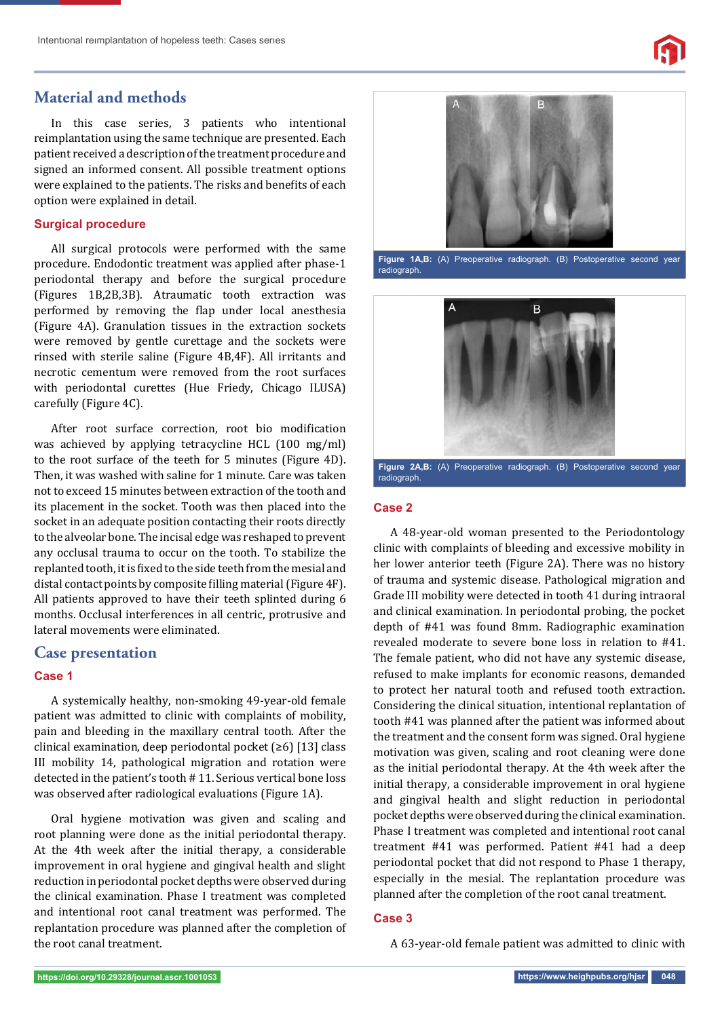## **Material and methods**

In this case series, 3 patients who intentional reimplantation using the same technique are presented. Each patient received a description of the treatment procedure and signed an informed consent. All possible treatment options were explained to the patients. The risks and benefits of each option were explained in detail.

#### **Surgical procedure**

All surgical protocols were performed with the same procedure. Endodontic treatment was applied after phase-1 periodontal therapy and before the surgical procedure (Figures 1B,2B,3B). Atraumatic tooth extraction was performed by removing the flap under local anesthesia (Figure 4A). Granulation tissues in the extraction sockets were removed by gentle curettage and the sockets were rinsed with sterile saline (Figure 4B,4F). All irritants and necrotic cementum were removed from the root surfaces with periodontal curettes (Hue Friedy, Chicago ILUSA) carefully (Figure 4C).

After root surface correction, root bio modification was achieved by applying tetracycline HCL (100 mg/ml) to the root surface of the teeth for 5 minutes (Figure 4D). Then, it was washed with saline for 1 minute. Care was taken not to exceed 15 minutes between extraction of the tooth and its placement in the socket. Tooth was then placed into the socket in an adequate position contacting their roots directly to the alveolar bone. The incisal edge was reshaped to prevent any occlusal trauma to occur on the tooth. To stabilize the replanted tooth, it is fixed to the side teeth from the mesial and distal contact points by composite filling material (Figure 4F). All patients approved to have their teeth splinted during 6 months. Occlusal interferences in all centric, protrusive and lateral movements were eliminated.

### **Case presentation**

#### **Case 1**

A systemically healthy, non-smoking 49-year-old female patient was admitted to clinic with complaints of mobility, pain and bleeding in the maxillary central tooth. After the clinical examination, deep periodontal pocket (≥6) [13] class III mobility 14, pathological migration and rotation were detected in the patient's tooth # 11. Serious vertical bone loss was observed after radiological evaluations (Figure 1A).

Oral hygiene motivation was given and scaling and root planning were done as the initial periodontal therapy. At the 4th week after the initial therapy, a considerable improvement in oral hygiene and gingival health and slight reduction in periodontal pocket depths were observed during the clinical examination. Phase I treatment was completed and intentional root canal treatment was performed. The replantation procedure was planned after the completion of the root canal treatment.







**Figure 2A,B:** (A) Preoperative radiograph. (B) Postoperative second year radiograph.

#### **Case 2**

A 48-year-old woman presented to the Periodontology clinic with complaints of bleeding and excessive mobility in her lower anterior teeth (Figure 2A). There was no history of trauma and systemic disease. Pathological migration and Grade III mobility were detected in tooth 41 during intraoral and clinical examination. In periodontal probing, the pocket depth of #41 was found 8mm. Radiographic examination revealed moderate to severe bone loss in relation to #41. The female patient, who did not have any systemic disease, refused to make implants for economic reasons, demanded to protect her natural tooth and refused tooth extraction. Considering the clinical situation, intentional replantation of tooth #41 was planned after the patient was informed about the treatment and the consent form was signed. Oral hygiene motivation was given, scaling and root cleaning were done as the initial periodontal therapy. At the 4th week after the initial therapy, a considerable improvement in oral hygiene and gingival health and slight reduction in periodontal pocket depths were observed during the clinical examination. Phase I treatment was completed and intentional root canal treatment #41 was performed. Patient #41 had a deep periodontal pocket that did not respond to Phase 1 therapy, especially in the mesial. The replantation procedure was planned after the completion of the root canal treatment.

#### **Case 3**

A 63-year-old female patient was admitted to clinic with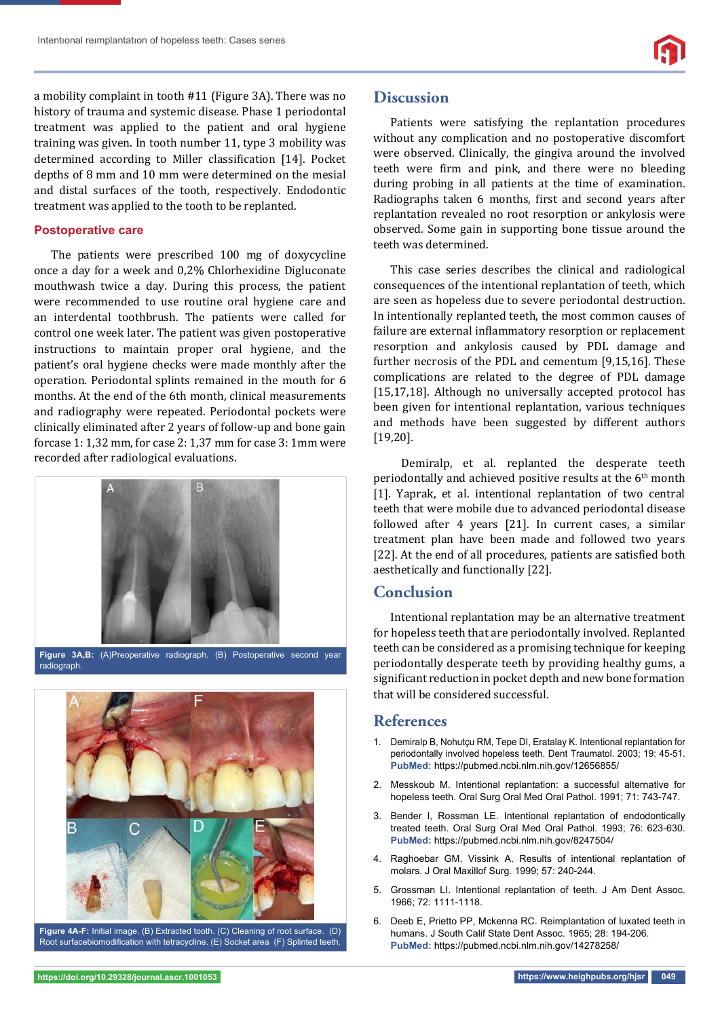a mobility complaint in tooth #11 (Figure 3A). There was no history of trauma and systemic disease. Phase 1 periodontal treatment was applied to the patient and oral hygiene training was given. In tooth number 11, type 3 mobility was determined according to Miller classification [14]. Pocket depths of 8 mm and 10 mm were determined on the mesial and distal surfaces of the tooth, respectively. Endodontic treatment was applied to the tooth to be replanted.

#### **Postoperative care**

The patients were prescribed 100 mg of doxycycline once a day for a week and 0,2% Chlorhexidine Digluconate mouthwash twice a day. During this process, the patient were recommended to use routine oral hygiene care and an interdental toothbrush. The patients were called for control one week later. The patient was given postoperative instructions to maintain proper oral hygiene, and the patient's oral hygiene checks were made monthly after the operation. Periodontal splints remained in the mouth for 6 months. At the end of the 6th month, clinical measurements and radiography were repeated. Periodontal pockets were clinically eliminated after 2 years of follow-up and bone gain forcase 1: 1,32 mm, for case 2: 1,37 mm for case 3: 1mm were recorded after radiological evaluations.



**Figure 3A,B:** (A)Preoperative radiograph. (B) Postoperative second year radiograph.



**Figure 4A-F:** Initial image. (B) Extracted tooth. (C) Cleaning of root surface. (D) Root surfacebiomodification with tetracycline. (E) Socket area (F) Splinted teeth.

## **Discussion**

Patients were satisfying the replantation procedures without any complication and no postoperative discomfort were observed. Clinically, the gingiva around the involved teeth were firm and pink, and there were no bleeding during probing in all patients at the time of examination. Radiographs taken 6 months, first and second years after replantation revealed no root resorption or ankylosis were observed. Some gain in supporting bone tissue around the teeth was determined.

This case series describes the clinical and radiological consequences of the intentional replantation of teeth, which are seen as hopeless due to severe periodontal destruction. In intentionally replanted teeth, the most common causes of failure are external inflammatory resorption or replacement resorption and ankylosis caused by PDL damage and further necrosis of the PDL and cementum [9,15,16]. These complications are related to the degree of PDL damage [15,17,18]. Although no universally accepted protocol has been given for intentional replantation, various techniques and methods have been suggested by different authors [19,20].

 Demiralp, et al. replanted the desperate teeth periodontally and achieved positive results at the 6th month [1]. Yaprak, et al. intentional replantation of two central teeth that were mobile due to advanced periodontal disease followed after 4 years [21]. In current cases, a similar treatment plan have been made and followed two years [22]. At the end of all procedures, patients are satisfied both aesthetically and functionally [22].

## **Conclusion**

Intentional replantation may be an alternative treatment for hopeless teeth that are periodontally involved. Replanted teeth can be considered as a promising technique for keeping periodontally desperate teeth by providing healthy gums, a significant reduction in pocket depth and new bone formation that will be considered successful.

## **References**

- 1. Demiralp B, Nohutçu RM, Tepe DI, Eratalay K. Intentional replantation for periodontally involved hopeless teeth. Dent Traumatol. 2003; 19: 45-51. **PubMed:** https://pubmed.ncbi.nlm.nih.gov/12656855/
- 2. Messkoub M. Intentional replantation: a successful alternative for hopeless teeth. Oral Surg Oral Med Oral Pathol. 1991; 71: 743-747.
- 3. Bender I, Rossman LE. Intentional replantation of endodontically treated teeth. Oral Surg Oral Med Oral Pathol. 1993; 76: 623-630. **PubMed:** https://pubmed.ncbi.nlm.nih.gov/8247504/
- 4. Raghoebar GM, Vissink A. Results of intentional replantation of molars. J Oral Maxillof Surg. 1999; 57: 240-244.
- 5. Grossman LI. Intentional replantation of teeth. J Am Dent Assoc. 1966; 72: 1111-1118.
- 6. Deeb E, Prietto PP, Mckenna RC. Reimplantation of luxated teeth in humans. J South Calif State Dent Assoc. 1965; 28: 194-206. **PubMed:** https://pubmed.ncbi.nlm.nih.gov/14278258/